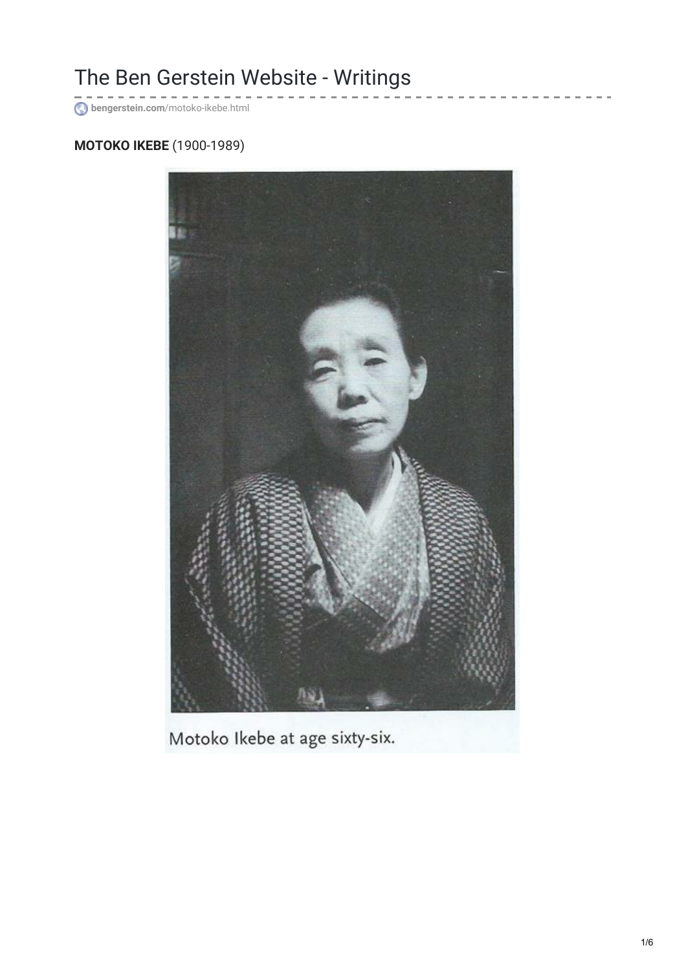## The Ben Gerstein Website - Writings

**bengerstein.com**[/motoko-ikebe.html](http://www.bengerstein.com/motoko-ikebe.html)

## **MOTOKO IKEBE** (1900-1989)



Motoko Ikebe at age sixty-six.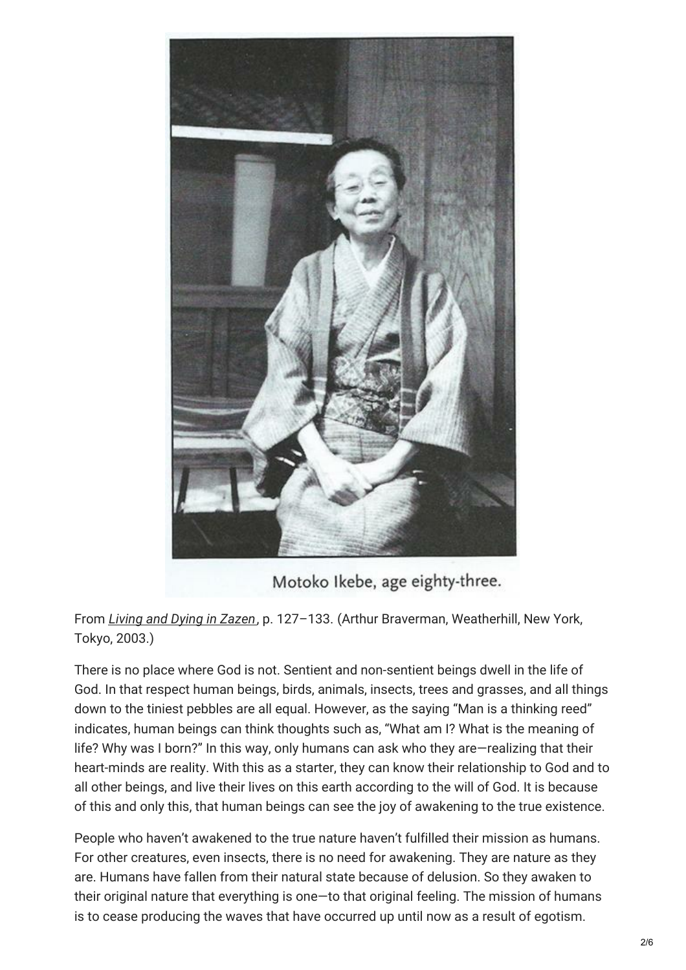

Motoko Ikebe, age eighty-three.

From *Living and Dying in [Zazen](http://www.amazon.com/Living-And-Dying-In-Zazen/dp/0834805316)*, p. 127–133. (Arthur Braverman, Weatherhill, New York, Tokyo, 2003.)

There is no place where God is not. Sentient and non-sentient beings dwell in the life of God. In that respect human beings, birds, animals, insects, trees and grasses, and all things down to the tiniest pebbles are all equal. However, as the saying "Man is a thinking reed" indicates, human beings can think thoughts such as, "What am I? What is the meaning of life? Why was I born?" In this way, only humans can ask who they are—realizing that their heart-minds are reality. With this as a starter, they can know their relationship to God and to all other beings, and live their lives on this earth according to the will of God. It is because of this and only this, that human beings can see the joy of awakening to the true existence.

People who haven't awakened to the true nature haven't fulfilled their mission as humans. For other creatures, even insects, there is no need for awakening. They are nature as they are. Humans have fallen from their natural state because of delusion. So they awaken to their original nature that everything is one—to that original feeling. The mission of humans is to cease producing the waves that have occurred up until now as a result of egotism.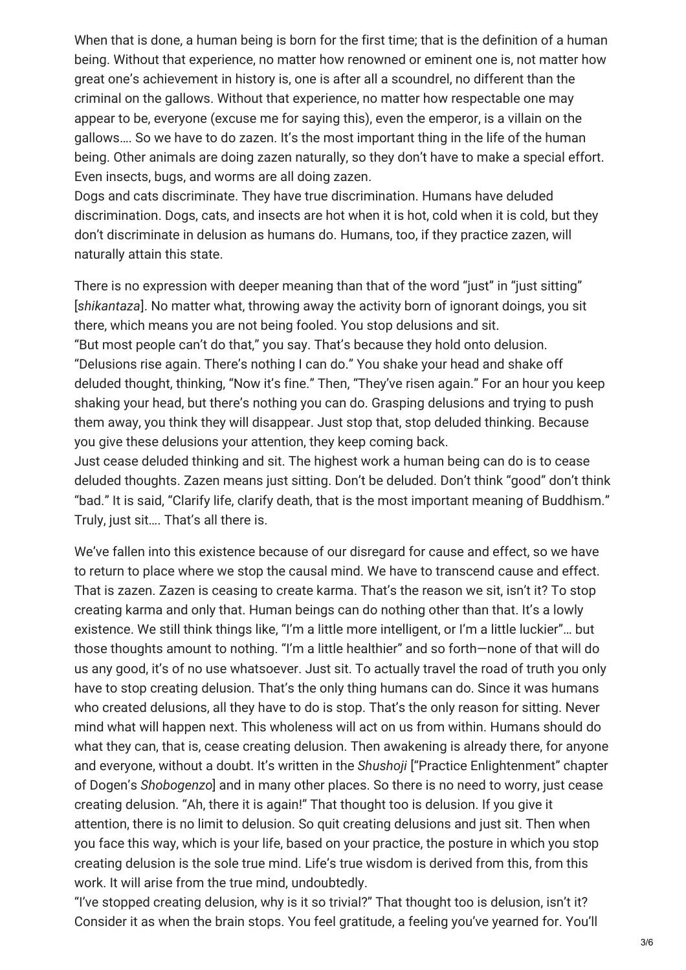When that is done, a human being is born for the first time; that is the definition of a human being. Without that experience, no matter how renowned or eminent one is, not matter how great one's achievement in history is, one is after all a scoundrel, no different than the criminal on the gallows. Without that experience, no matter how respectable one may appear to be, everyone (excuse me for saying this), even the emperor, is a villain on the gallows…. So we have to do zazen. It's the most important thing in the life of the human being. Other animals are doing zazen naturally, so they don't have to make a special effort. Even insects, bugs, and worms are all doing zazen.

Dogs and cats discriminate. They have true discrimination. Humans have deluded discrimination. Dogs, cats, and insects are hot when it is hot, cold when it is cold, but they don't discriminate in delusion as humans do. Humans, too, if they practice zazen, will naturally attain this state.

There is no expression with deeper meaning than that of the word "just" in "just sitting" [*shikantaza*]. No matter what, throwing away the activity born of ignorant doings, you sit there, which means you are not being fooled. You stop delusions and sit. "But most people can't do that," you say. That's because they hold onto delusion. "Delusions rise again. There's nothing I can do." You shake your head and shake off deluded thought, thinking, "Now it's fine." Then, "They've risen again." For an hour you keep shaking your head, but there's nothing you can do. Grasping delusions and trying to push them away, you think they will disappear. Just stop that, stop deluded thinking. Because you give these delusions your attention, they keep coming back.

Just cease deluded thinking and sit. The highest work a human being can do is to cease deluded thoughts. Zazen means just sitting. Don't be deluded. Don't think "good" don't think "bad." It is said, "Clarify life, clarify death, that is the most important meaning of Buddhism." Truly, just sit…. That's all there is.

We've fallen into this existence because of our disregard for cause and effect, so we have to return to place where we stop the causal mind. We have to transcend cause and effect. That is zazen. Zazen is ceasing to create karma. That's the reason we sit, isn't it? To stop creating karma and only that. Human beings can do nothing other than that. It's a lowly existence. We still think things like, "I'm a little more intelligent, or I'm a little luckier"… but those thoughts amount to nothing. "I'm a little healthier" and so forth—none of that will do us any good, it's of no use whatsoever. Just sit. To actually travel the road of truth you only have to stop creating delusion. That's the only thing humans can do. Since it was humans who created delusions, all they have to do is stop. That's the only reason for sitting. Never mind what will happen next. This wholeness will act on us from within. Humans should do what they can, that is, cease creating delusion. Then awakening is already there, for anyone and everyone, without a doubt. It's written in the *Shushoji* ["Practice Enlightenment" chapter of Dogen's *Shobogenzo*] and in many other places. So there is no need to worry, just cease creating delusion. "Ah, there it is again!" That thought too is delusion. If you give it attention, there is no limit to delusion. So quit creating delusions and just sit. Then when you face this way, which is your life, based on your practice, the posture in which you stop creating delusion is the sole true mind. Life's true wisdom is derived from this, from this work. It will arise from the true mind, undoubtedly.

"I've stopped creating delusion, why is it so trivial?" That thought too is delusion, isn't it? Consider it as when the brain stops. You feel gratitude, a feeling you've yearned for. You'll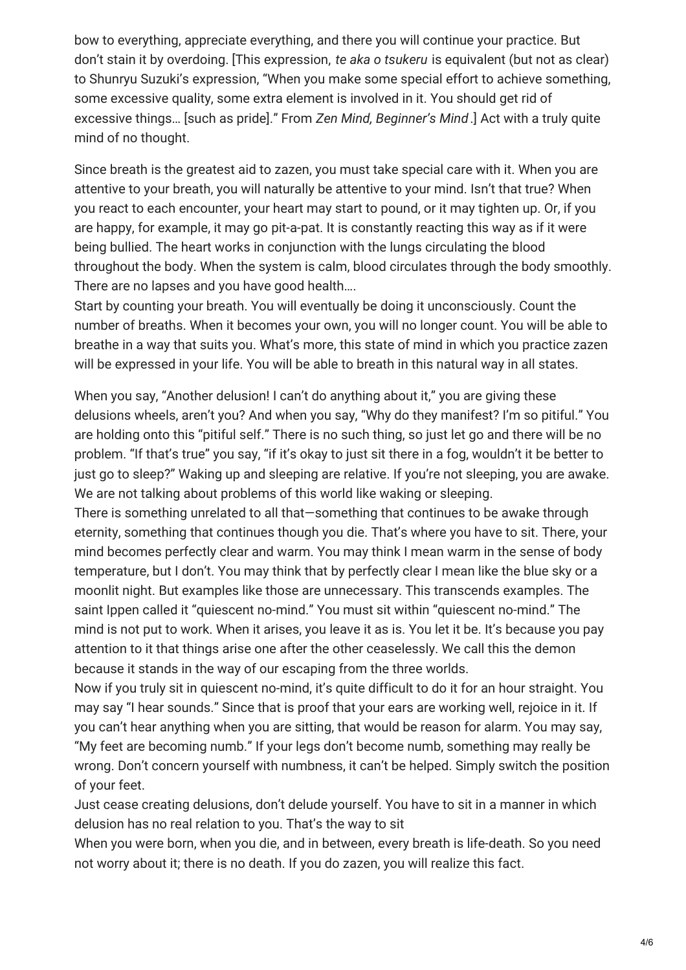bow to everything, appreciate everything, and there you will continue your practice. But don't stain it by overdoing. [This expression, *te aka o tsukeru* is equivalent (but not as clear) to Shunryu Suzuki's expression, "When you make some special effort to achieve something, some excessive quality, some extra element is involved in it. You should get rid of excessive things… [such as pride]." From *Zen Mind, Beginner's Mind*.] Act with a truly quite mind of no thought.

Since breath is the greatest aid to zazen, you must take special care with it. When you are attentive to your breath, you will naturally be attentive to your mind. Isn't that true? When you react to each encounter, your heart may start to pound, or it may tighten up. Or, if you are happy, for example, it may go pit-a-pat. It is constantly reacting this way as if it were being bullied. The heart works in conjunction with the lungs circulating the blood throughout the body. When the system is calm, blood circulates through the body smoothly. There are no lapses and you have good health….

Start by counting your breath. You will eventually be doing it unconsciously. Count the number of breaths. When it becomes your own, you will no longer count. You will be able to breathe in a way that suits you. What's more, this state of mind in which you practice zazen will be expressed in your life. You will be able to breath in this natural way in all states.

When you say, "Another delusion! I can't do anything about it," you are giving these delusions wheels, aren't you? And when you say, "Why do they manifest? I'm so pitiful." You are holding onto this "pitiful self." There is no such thing, so just let go and there will be no problem. "If that's true" you say, "if it's okay to just sit there in a fog, wouldn't it be better to just go to sleep?" Waking up and sleeping are relative. If you're not sleeping, you are awake. We are not talking about problems of this world like waking or sleeping.

There is something unrelated to all that—something that continues to be awake through eternity, something that continues though you die. That's where you have to sit. There, your mind becomes perfectly clear and warm. You may think I mean warm in the sense of body temperature, but I don't. You may think that by perfectly clear I mean like the blue sky or a moonlit night. But examples like those are unnecessary. This transcends examples. The saint Ippen called it "quiescent no-mind." You must sit within "quiescent no-mind." The mind is not put to work. When it arises, you leave it as is. You let it be. It's because you pay attention to it that things arise one after the other ceaselessly. We call this the demon because it stands in the way of our escaping from the three worlds.

Now if you truly sit in quiescent no-mind, it's quite difficult to do it for an hour straight. You may say "I hear sounds." Since that is proof that your ears are working well, rejoice in it. If you can't hear anything when you are sitting, that would be reason for alarm. You may say, "My feet are becoming numb." If your legs don't become numb, something may really be wrong. Don't concern yourself with numbness, it can't be helped. Simply switch the position of your feet.

Just cease creating delusions, don't delude yourself. You have to sit in a manner in which delusion has no real relation to you. That's the way to sit

When you were born, when you die, and in between, every breath is life-death. So you need not worry about it; there is no death. If you do zazen, you will realize this fact.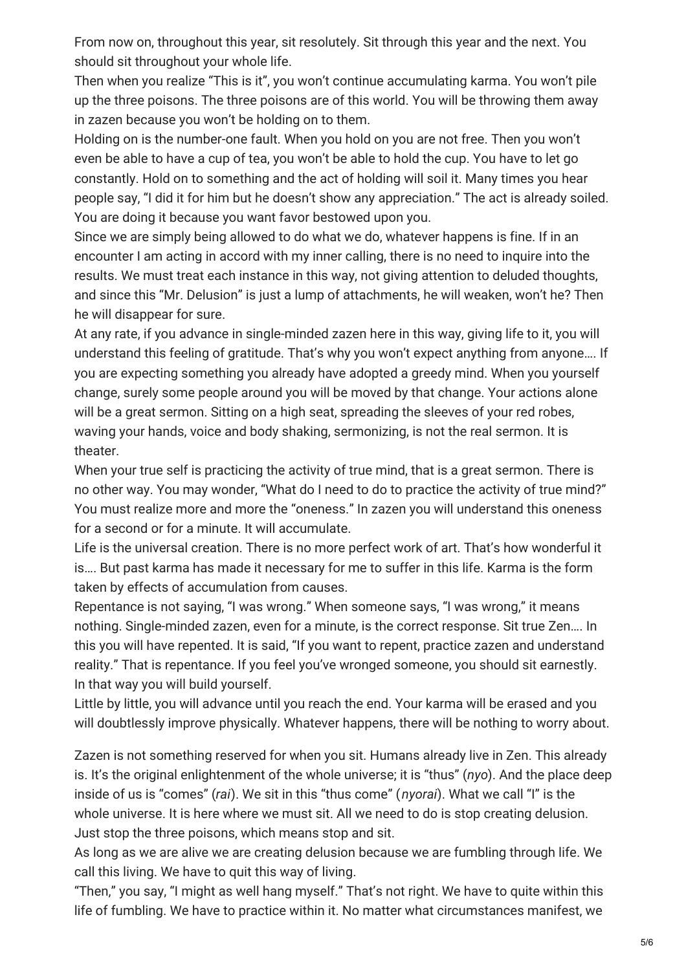From now on, throughout this year, sit resolutely. Sit through this year and the next. You should sit throughout your whole life.

Then when you realize "This is it", you won't continue accumulating karma. You won't pile up the three poisons. The three poisons are of this world. You will be throwing them away in zazen because you won't be holding on to them.

Holding on is the number-one fault. When you hold on you are not free. Then you won't even be able to have a cup of tea, you won't be able to hold the cup. You have to let go constantly. Hold on to something and the act of holding will soil it. Many times you hear people say, "I did it for him but he doesn't show any appreciation." The act is already soiled. You are doing it because you want favor bestowed upon you.

Since we are simply being allowed to do what we do, whatever happens is fine. If in an encounter I am acting in accord with my inner calling, there is no need to inquire into the results. We must treat each instance in this way, not giving attention to deluded thoughts, and since this "Mr. Delusion" is just a lump of attachments, he will weaken, won't he? Then he will disappear for sure.

At any rate, if you advance in single-minded zazen here in this way, giving life to it, you will understand this feeling of gratitude. That's why you won't expect anything from anyone…. If you are expecting something you already have adopted a greedy mind. When you yourself change, surely some people around you will be moved by that change. Your actions alone will be a great sermon. Sitting on a high seat, spreading the sleeves of your red robes, waving your hands, voice and body shaking, sermonizing, is not the real sermon. It is theater.

When your true self is practicing the activity of true mind, that is a great sermon. There is no other way. You may wonder, "What do I need to do to practice the activity of true mind?" You must realize more and more the "oneness." In zazen you will understand this oneness for a second or for a minute. It will accumulate.

Life is the universal creation. There is no more perfect work of art. That's how wonderful it is…. But past karma has made it necessary for me to suffer in this life. Karma is the form taken by effects of accumulation from causes.

Repentance is not saying, "I was wrong." When someone says, "I was wrong," it means nothing. Single-minded zazen, even for a minute, is the correct response. Sit true Zen…. In this you will have repented. It is said, "If you want to repent, practice zazen and understand reality." That is repentance. If you feel you've wronged someone, you should sit earnestly. In that way you will build yourself.

Little by little, you will advance until you reach the end. Your karma will be erased and you will doubtlessly improve physically. Whatever happens, there will be nothing to worry about.

Zazen is not something reserved for when you sit. Humans already live in Zen. This already is. It's the original enlightenment of the whole universe; it is "thus" (*nyo*). And the place deep inside of us is "comes" (*rai*). We sit in this "thus come" (*nyorai*). What we call "I" is the whole universe. It is here where we must sit. All we need to do is stop creating delusion. Just stop the three poisons, which means stop and sit.

As long as we are alive we are creating delusion because we are fumbling through life. We call this living. We have to quit this way of living.

"Then," you say, "I might as well hang myself." That's not right. We have to quite within this life of fumbling. We have to practice within it. No matter what circumstances manifest, we